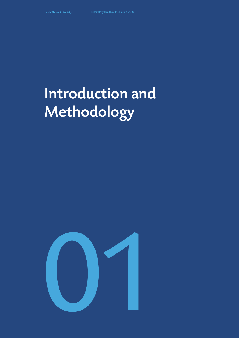# Introduction and Methodology

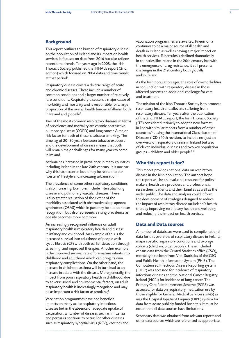## **Background**

This report outlines the burden of respiratory disease on the population of Ireland and its impact on health services. It focuses on data from 2016 but also reflects recent time trends. Ten years ago in 2008, the Irish Thoracic Society published the INHALE report (2nd edition) which focused on 2004 data and time trends at that period*<sup>1</sup>* .

Respiratory disease covers a diverse range of acute and chronic diseases. These include a number of common conditions and a larger number of relatively rare conditions. Respiratory disease is a major cause of morbidity and mortality and is responsible for a large proportion of the overall health burden of illness, both in Ireland and globally*<sup>2</sup>* .

Two of the most common respiratory diseases in terms of prevalence and mortality are chronic obstructive pulmonary disease (COPD) and lung cancer. A major risk factor for both of these is tobacco smoking. The time lag of 20–30 years between tobacco exposure and the development of disease means that both will remain major challenges for many years to come in Ireland.

Asthma has increased in prevalence in many countries including Ireland in the late 20th century. It is unclear why this has occurred but it may be related to our 'western' lifestyle and increasing urbanisation*<sup>2</sup>* .

The prevalence of some other respiratory conditions is also increasing. Examples include interstitial lung disease and pulmonary vascular diseases. There is also greater realisation of the extent of the morbidity associated with obstructive sleep apnoea syndromes (OSAS) which in part may be due to better recognition, but also represents a rising prevalence as obesity becomes more common.

An increasingly recognised influence on adult respiratory health is respiratory health and disease in infancy and childhood. An example of this is the increased survival into adulthood of people with cystic fibrosis (CF) with both earlier detection through screening, and improved therapies. Another example is the improved survival rate of premature infants into childhood and adulthood which can bring its own respiratory complications. On the other hand, the increase in childhood asthma will in turn lead to an increase in adults with the disease. More generally, the impact from poor respiratory health in childhood, due to adverse social and environmental factors, on adult respiratory health is increasingly recognised and may be as important a risk factor as smoking*<sup>2</sup>* .

Vaccination programmes have had beneficial impacts on many acute respiratory infectious diseases but in the absence of adequate uptake of vaccination, a number of diseases such as influenza and pertussis continue to occur. For other diseases such as respiratory syncytial virus (RSV), vaccines and vaccination programmes are awaited. Pneumonia continues to be a major source of ill health and death in Ireland as well as having a major impact on health services. Tuberculosis declined dramatically in countries like Ireland in the 20th century but with the emergence of drug resistance, it still presents challenges in the 21st century both globally and in Ireland.

As the Irish population ages, the role of co-morbidities in conjunction with respiratory disease in those affected presents an additional challenge for care and treatment.

The mission of the Irish Thoracic Society is to promote respiratory health and alleviate suffering from respiratory disease. Ten years after the publication of the 2nd INHALE report, the Irish Thoracic Society (ITS) considered it timely to adopt a new format, in line with similar reports from a number of other countries*1-5*, using the International Classification of Diseases (ICD ) 10th revision, to include not just an over-view of respiratory disease in Ireland but also of eleven individual diseases and two key population groups – children and older people*1-5*.

### **Who this report is for?**

This report provides national data on respiratory disease in the Irish population. The authors hope the report will be an invaluable resource for policymakers, health care providers and professionals, researchers, patients and their families as well as the wider public. The data and analyses could inform the development of strategies designed to reduce the impact of respiratory disease on Ireland's health, thereby improving respiratory health and wellbeing and reducing the impact on health services.

# **Data and Data sources**

A number of databases were used to compile national data for this overview of respiratory disease in Ireland, major specific respiratory conditions and two age cohorts (children, older people). These included census data from the Central Statistics office (CSO), mortality data both from Vital Statistics of the CSO and Public Health Information System (PHIS). The Computerised Infectious Disease Reporting system (CIDR) was accessed for incidence of respiratory infectious diseases and the National Cancer Registry Ireland (NCRI) for incidence of lung cancer. The Primary Care Reimbursement Scheme (PCRS) was accessed for data on respiratory medication use by those eligible for General Medical Services (GMS) as was the Hospital Inpatient Enquiry (HIPE) system for data from acute publicly funded hospitals. It must be noted that all data sources have limitations.

Secondary data was obtained from relevant reports and other data sources which are referenced as appropriate.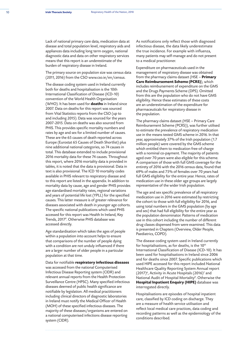Lack of national primary care data, medication data at disease and total population level, respiratory aids and appliances data including long term oxygen, national diagnostic data and data on other respiratory services means that this report is an underestimate of the burden of respiratory disease in Ireland.

The primary source on population size was census data (2011, 2016) from the CSO www.cso.ie/en/census.

The disease coding system used in Ireland currently both for deaths and hospitalisation is the 10th International Classification of Disease (ICD-10) convention of the World Health Organisation (WHO). It has been used for **deaths** in Ireland since 2007. Data on deaths for this report was sourced from Vital Statistics reports from the CSO (up to and including 2015). Data was sourced for the years 2007-2015. Data on deaths was also sourced from PHIS. This provides specific mortality numbers and rates by age and sex for a limited number of causes. These are the 65 causes of death reported across Europe (Eurostat 65 Causes of Death Shortlist) plus nine additional national categories, so 74 causes in total. This database extended to include provisional 2016 mortality data for these 74 causes. Throughout this report, where 2016 mortality data is provided in tables, it is noted that the data is provisional. Data in text is also provisional. The ICD 10 mortality codes available in PHIS relevant to respiratory disease and to this report are listed in the appendix. In addition to mortality data by cause, age and gender PHIS provides age standardised mortality rates, regional variations and years of potential life lost (YPLL) for the specified causes. This latter measure is of greater relevance for diseases associated with death in younger age cohorts. The specific national publications which used PHIS accessed for this report was Health In Ireland, Key Trends, 2017*<sup>9</sup>* . Otherwise PHIS database was accessed directly.

Age standardisation which takes the ages of people within a population into account helps to ensure that comparisons of the number of people dying with a condition are not unduly influenced if there are a larger number of older people in a particular population at that time.

Data for notifiable **respiratory infectious diseases** was accessed from the national Computerised Infectious Disease Reporting system (CIDR) and relevant annual reports from the Health Protection Surveillance Centre (HPSC). Many specified infectious diseases deemed of public health significance are notifiable by legislation. All medical practitioners including clinical directors of diagnostic laboratories in Ireland must notify the Medical Officer of Health (MOH) of these specified infectious diseases. The majority of these diseases/organisms are entered on a national computerised infections disease reporting system (CIDR).

As notifications only reflect those with diagnosed infectious disease, the data likely underestimate the true incidence. For example with influenza, many patients may self-manage and do not present to a medical practitioner.

Expenditure on pharmaceuticals used in the management of respiratory disease was obtained from the pharmacy claims dataset (HSE – **Primary Care Reimbursement Scheme (PCRS)**), which includes reimbursement of expenditure on the GMS and the Drugs Payments Scheme (DPS). Omitted from this are the population who do not have GMS eligibility. Hence these estimates of these costs are an underestimation of the expenditure for pharmaceuticals for respiratory disease in the population.

The pharmacy claims dataset (HSE – Primary Care Reimbursement Scheme (PCRS)), was further utilised to estimate the prevalence of respiratory medication use in the means tested GMS scheme in 2016. In that year, approximately 37% of the Irish population (1.7 million people) were covered by the GMS scheme which entitled them to medication free-of-charge with a nominal co-payment. The majority of patients aged over 70 years were also eligible for this scheme. A comparison of those with full GMS coverage for the entirety of 2016 with the 2016 census data, found that 69% of males and 75% of females over 70 years had full GMS eligibility for the entire year. Hence, rates of medication use in these older age groups are largely representative of the wider Irish population.

The age and sex specific prevalence of all respiratory medication use in 2016 were estimated by restricting the cohort to those with full eligibility for 2016, and using total numbers in the GMS population (by age and sex) that had full eligibility for the entire year as the population denominator. Patterns of medication use in this cohort including the number of different drug classes dispensed from were examined. This data is presented in Chapters (Overview, Older People, Paediatrics, COPD).

The disease coding system used in Ireland currently for hospitalisations, as for deaths, is the  $10<sup>th</sup>$ International Classification of Disease (ICD-10). It has been used for hospitalisations in Ireland since 2006 and for deaths since 2007. Specific publications which used HIPE accessed for this report included National Healthcare Quality Reporting System Annual report (2017)*<sup>6</sup>* , Activity in Acute Hospitals (2016)*<sup>7</sup>* and National Audit of Hospital Mortality*<sup>8</sup>* . Otherwise the **Hospital Inpatient Enquiry (HIPE)** database was interrogated directly.

Hospitalisations are episodes of hospital inpatient care, classified by ICD coding on discharge. They are a measure of health service utilisation and reflect local medical care practices, data coding and recording patterns as well as the epidemiology of the conditions described.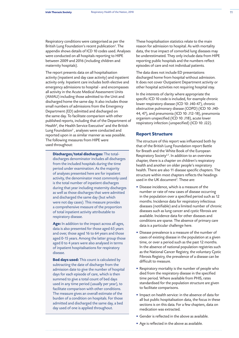Respiratory conditions were categorised as per the British Lung Foundation's recent publication*<sup>3</sup>* . The appendix shows details of ICD 10 codes used. Analyses were conducted on all hospitals reporting to HIPE between 2009 and 2016 (including children and maternity hospitals).

The report presents data on all hospitalisation activity (inpatient and day case activity) and inpatient activity only. Inpatient care includes both elective and emergency admissions to hospital - and encompasses all activity in the Acute Medical Assessment Units (AMAU) including those admitted to the Unit and discharged home the same day. It also includes those small numbers of admissions from the Emergency Department (ED) admitted and discharged on the same day. To facilitate comparison with other published reports, including that of the Department of Health*<sup>6</sup>* , the Health Service Executive*<sup>7</sup>* and the British Lung Foundation<sup>3</sup>, analyses were conducted and reported upon in as similar manner as was possible. The following measures from HIPE were used throughout:

**Discharges/total discharges:** The totaldischarges denominator includes all discharges from the included hospitals during the time period under examination. As the majority of analyses presented here are for inpatient activity, the denominator most commonly used is the total number of inpatient discharges during that year including maternity discharges as well as those discharges that were admitted and discharged the same day (but which were not day cases). This measure provides a comprehensive measure of the proportion of total inpatient activity attributable to respiratory disease.

**Age:** In addition to the impact across all ages, data is also presented for those aged 65 years and over, those aged 16 to 64 years and those aged 0-15 years. Among the latter group those aged 0 to 4 years were also analysed in terms of inpatient hospitalisations for respiratory disease.

**Bed days used:** This count is calculated by subtracting the date of discharge from the admission date to give the number of hospital days for each episode of care, which is then summed to give a total count of bed days used in any time period (usually per year), to facilitate comparison with other conditions. The measure gives an overall estimate of the burden of a condition on hospitals. For those admitted and discharged the same day, a bed day used of one is applied throughout.

These hospitalisation statistics relate to the main reason for admission to hospital. As with mortality data, the true impact of comorbid lung diseases may be underestimated. They only include data from HIPE reporting public hospitals and the numbers reflect episodes of care and not individual patients.

The data does not include ED presentations discharged home from hospital without admission. It does not cover Outpatient Department activity or other hospital activities not requiring hospital stay.

In the interests of clarity where appropriate the specific ICD 10 code is included, for example chronic lower respiratory disease (ICD 10: J40-47), chronic obstructive pulmonary disease (COPD) (ICD 10: J40- 44, 47), and pneumonia (ICD 10: J12-18), pneumonia organism unspecified (ICD 10: J18), acute lower respiratory infection (unspecified) (ICD 10: J22).

# **Report Structure**

The structure of this report was influenced both by that of the British Lung Foundation report Battle for Breath and the White Book of the European Respiratory Society*2,3*. In addition to an overview chapter, there is a chapter on children's respiratory health and another on older people's respiratory health. There are also 11 disease specific chapters. The structure within most chapters reflects the headings used in the UK document*<sup>3</sup>* . These are:

- Disease incidence, which is a measure of the number or rate of new cases of disease occurring in the population over a specified period such as 12 months. Incidence data for respiratory infectious diseases (notifiable) and a limited number of chronic diseases such as lung cancer and cystic fibrosis are available. Incidence data for other diseases and conditions are sparse. The absence of primary care data is a particular challenge here.
- Disease prevalence is a measure of the number of cases of existing disease in the population at a given time, or over a period such as the past 12 months. In the absence of national population registries such as the National Cancer Registry, the voluntary Cystic Fibrosis Registry, the prevalence of a disease can be difficult to measure.
- Respiratory mortality is the number of people who died from the respiratory disease in the specified time period. Where available from PHIS, rates standardised for the population structure are given to facilitate comparisons.
- Impact on health service: in the absence of data for all but public hospitalisation data, the focus in these sections is on this data. For a few chapters, data on medication was extracted.
- Gender is reflected in the above as available.
- Age is reflected in the above as available.